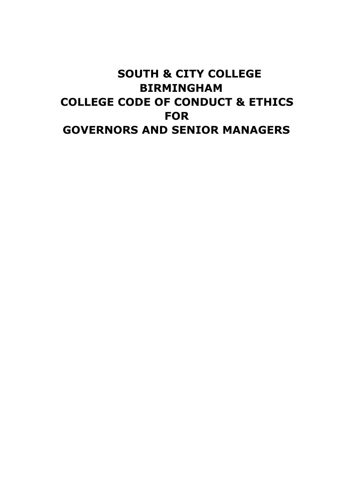# **SOUTH & CITY COLLEGE BIRMINGHAM COLLEGE CODE OF CONDUCT & ETHICS FOR GOVERNORS AND SENIOR MANAGERS**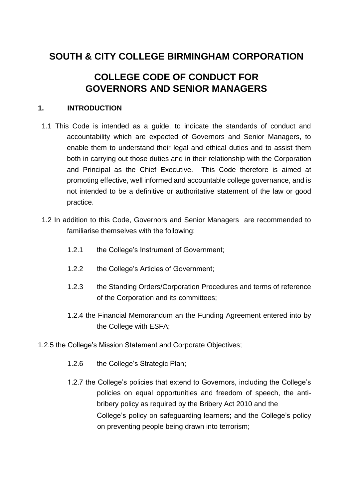## **SOUTH & CITY COLLEGE BIRMINGHAM CORPORATION**

## **COLLEGE CODE OF CONDUCT FOR GOVERNORS AND SENIOR MANAGERS**

## **1. INTRODUCTION**

- 1.1 This Code is intended as a guide, to indicate the standards of conduct and accountability which are expected of Governors and Senior Managers, to enable them to understand their legal and ethical duties and to assist them both in carrying out those duties and in their relationship with the Corporation and Principal as the Chief Executive. This Code therefore is aimed at promoting effective, well informed and accountable college governance, and is not intended to be a definitive or authoritative statement of the law or good practice.
- 1.2 In addition to this Code, Governors and Senior Managers are recommended to familiarise themselves with the following:
	- 1.2.1 the College's Instrument of Government;
	- 1.2.2 the College's Articles of Government;
	- 1.2.3 the Standing Orders/Corporation Procedures and terms of reference of the Corporation and its committees;
	- 1.2.4 the Financial Memorandum an the Funding Agreement entered into by the College with ESFA;
- 1.2.5 the College's Mission Statement and Corporate Objectives;
	- 1.2.6 the College's Strategic Plan;
	- 1.2.7 the College's policies that extend to Governors, including the College's policies on equal opportunities and freedom of speech, the antibribery policy as required by the Bribery Act 2010 and the College's policy on safeguarding learners; and the College's policy on preventing people being drawn into terrorism;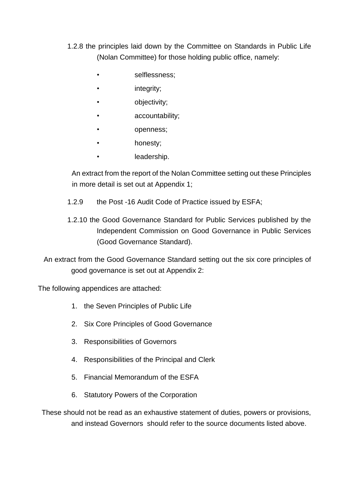- 1.2.8 the principles laid down by the Committee on Standards in Public Life (Nolan Committee) for those holding public office, namely:
	- selflessness;
	- integrity;
	- objectivity;
	- accountability;
	- openness;
	- honesty;
	- leadership.

An extract from the report of the Nolan Committee setting out these Principles in more detail is set out at Appendix 1;

- 1.2.9 the Post -16 Audit Code of Practice issued by ESFA;
- 1.2.10 the Good Governance Standard for Public Services published by the Independent Commission on Good Governance in Public Services (Good Governance Standard).

An extract from the Good Governance Standard setting out the six core principles of good governance is set out at Appendix 2:

The following appendices are attached:

- 1. the Seven Principles of Public Life
- 2. Six Core Principles of Good Governance
- 3. Responsibilities of Governors
- 4. Responsibilities of the Principal and Clerk
- 5. Financial Memorandum of the ESFA
- 6. Statutory Powers of the Corporation

These should not be read as an exhaustive statement of duties, powers or provisions, and instead Governors should refer to the source documents listed above.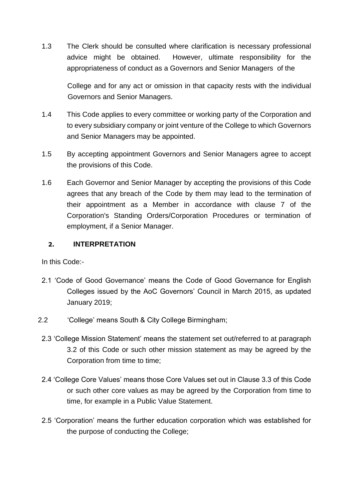1.3 The Clerk should be consulted where clarification is necessary professional advice might be obtained. However, ultimate responsibility for the appropriateness of conduct as a Governors and Senior Managers of the

College and for any act or omission in that capacity rests with the individual Governors and Senior Managers.

- 1.4 This Code applies to every committee or working party of the Corporation and to every subsidiary company or joint venture of the College to which Governors and Senior Managers may be appointed.
- 1.5 By accepting appointment Governors and Senior Managers agree to accept the provisions of this Code.
- 1.6 Each Governor and Senior Manager by accepting the provisions of this Code agrees that any breach of the Code by them may lead to the termination of their appointment as a Member in accordance with clause 7 of the Corporation's Standing Orders/Corporation Procedures or termination of employment, if a Senior Manager.

## **2. INTERPRETATION**

In this Code:-

- 2.1 'Code of Good Governance' means the Code of Good Governance for English Colleges issued by the AoC Governors' Council in March 2015, as updated January 2019;
- 2.2 'College' means South & City College Birmingham;
- 2.3 'College Mission Statement' means the statement set out/referred to at paragraph 3.2 of this Code or such other mission statement as may be agreed by the Corporation from time to time;
- 2.4 'College Core Values' means those Core Values set out in Clause 3.3 of this Code or such other core values as may be agreed by the Corporation from time to time, for example in a Public Value Statement.
- 2.5 'Corporation' means the further education corporation which was established for the purpose of conducting the College;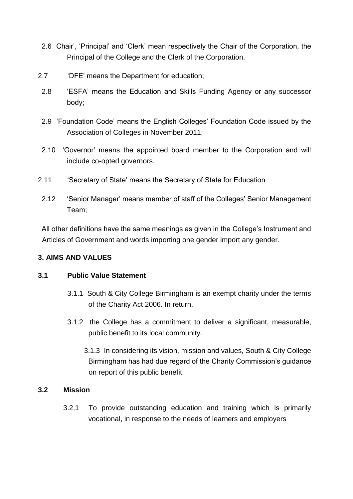- 2.6 Chair', 'Principal' and 'Clerk' mean respectively the Chair of the Corporation, the Principal of the College and the Clerk of the Corporation.
- 2.7 'DFE' means the Department for education;
- 2.8 'ESFA' means the Education and Skills Funding Agency or any successor body;
- 2.9 'Foundation Code' means the English Colleges' Foundation Code issued by the Association of Colleges in November 2011;
- 2.10 'Governor' means the appointed board member to the Corporation and will include co-opted governors.
- 2.11 'Secretary of State' means the Secretary of State for Education
- 2.12 'Senior Manager' means member of staff of the Colleges' Senior Management Team;

All other definitions have the same meanings as given in the College's Instrument and Articles of Government and words importing one gender import any gender.

## **3. AIMS AND VALUES**

## **3.1 Public Value Statement**

- 3.1.1 South & City College Birmingham is an exempt charity under the terms of the Charity Act 2006. In return,
- 3.1.2 the College has a commitment to deliver a significant, measurable, public benefit to its local community.
	- 3.1.3 In considering its vision, mission and values, South & City College Birmingham has had due regard of the Charity Commission's guidance on report of this public benefit.

## **3.2 Mission**

3.2.1 To provide outstanding education and training which is primarily vocational, in response to the needs of learners and employers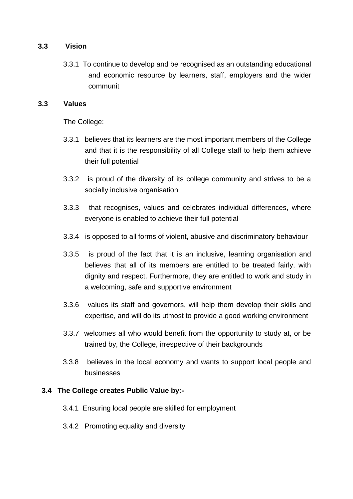## **3.3 Vision**

3.3.1 To continue to develop and be recognised as an outstanding educational and economic resource by learners, staff, employers and the wider communit

## **3.3 Values**

The College:

- 3.3.1 believes that its learners are the most important members of the College and that it is the responsibility of all College staff to help them achieve their full potential
- 3.3.2 is proud of the diversity of its college community and strives to be a socially inclusive organisation
- 3.3.3 that recognises, values and celebrates individual differences, where everyone is enabled to achieve their full potential
- 3.3.4 is opposed to all forms of violent, abusive and discriminatory behaviour
- 3.3.5 is proud of the fact that it is an inclusive, learning organisation and believes that all of its members are entitled to be treated fairly, with dignity and respect. Furthermore, they are entitled to work and study in a welcoming, safe and supportive environment
- 3.3.6 values its staff and governors, will help them develop their skills and expertise, and will do its utmost to provide a good working environment
- 3.3.7 welcomes all who would benefit from the opportunity to study at, or be trained by, the College, irrespective of their backgrounds
- 3.3.8 believes in the local economy and wants to support local people and businesses

## **3.4 The College creates Public Value by:-**

- 3.4.1 Ensuring local people are skilled for employment
- 3.4.2 Promoting equality and diversity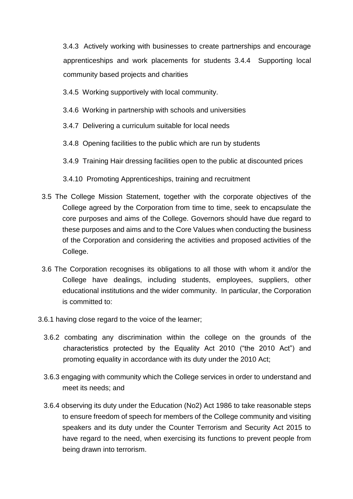3.4.3 Actively working with businesses to create partnerships and encourage apprenticeships and work placements for students 3.4.4 Supporting local community based projects and charities

3.4.5 Working supportively with local community.

- 3.4.6 Working in partnership with schools and universities
- 3.4.7 Delivering a curriculum suitable for local needs
- 3.4.8 Opening facilities to the public which are run by students
- 3.4.9 Training Hair dressing facilities open to the public at discounted prices
- 3.4.10 Promoting Apprenticeships, training and recruitment
- 3.5 The College Mission Statement, together with the corporate objectives of the College agreed by the Corporation from time to time, seek to encapsulate the core purposes and aims of the College. Governors should have due regard to these purposes and aims and to the Core Values when conducting the business of the Corporation and considering the activities and proposed activities of the College.
- 3.6 The Corporation recognises its obligations to all those with whom it and/or the College have dealings, including students, employees, suppliers, other educational institutions and the wider community. In particular, the Corporation is committed to:
- 3.6.1 having close regard to the voice of the learner;
	- 3.6.2 combating any discrimination within the college on the grounds of the characteristics protected by the Equality Act 2010 ("the 2010 Act") and promoting equality in accordance with its duty under the 2010 Act;
	- 3.6.3 engaging with community which the College services in order to understand and meet its needs; and
	- 3.6.4 observing its duty under the Education (No2) Act 1986 to take reasonable steps to ensure freedom of speech for members of the College community and visiting speakers and its duty under the Counter Terrorism and Security Act 2015 to have regard to the need, when exercising its functions to prevent people from being drawn into terrorism.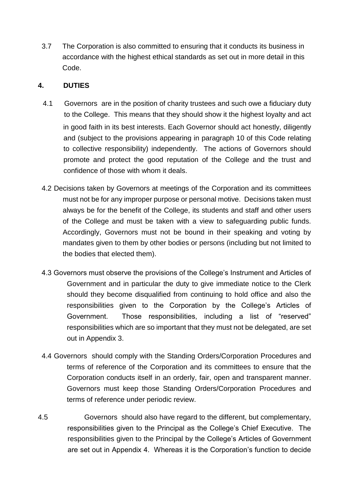3.7 The Corporation is also committed to ensuring that it conducts its business in accordance with the highest ethical standards as set out in more detail in this Code.

## **4. DUTIES**

- 4.1 Governors are in the position of charity trustees and such owe a fiduciary duty to the College. This means that they should show it the highest loyalty and act in good faith in its best interests. Each Governor should act honestly, diligently and (subject to the provisions appearing in paragraph 10 of this Code relating to collective responsibility) independently. The actions of Governors should promote and protect the good reputation of the College and the trust and confidence of those with whom it deals.
- 4.2 Decisions taken by Governors at meetings of the Corporation and its committees must not be for any improper purpose or personal motive. Decisions taken must always be for the benefit of the College, its students and staff and other users of the College and must be taken with a view to safeguarding public funds. Accordingly, Governors must not be bound in their speaking and voting by mandates given to them by other bodies or persons (including but not limited to the bodies that elected them).
- 4.3 Governors must observe the provisions of the College's Instrument and Articles of Government and in particular the duty to give immediate notice to the Clerk should they become disqualified from continuing to hold office and also the responsibilities given to the Corporation by the College's Articles of Government. Those responsibilities, including a list of "reserved" responsibilities which are so important that they must not be delegated, are set out in Appendix 3.
- 4.4 Governors should comply with the Standing Orders/Corporation Procedures and terms of reference of the Corporation and its committees to ensure that the Corporation conducts itself in an orderly, fair, open and transparent manner. Governors must keep those Standing Orders/Corporation Procedures and terms of reference under periodic review.
- 4.5 Governors should also have regard to the different, but complementary, responsibilities given to the Principal as the College's Chief Executive. The responsibilities given to the Principal by the College's Articles of Government are set out in Appendix 4. Whereas it is the Corporation's function to decide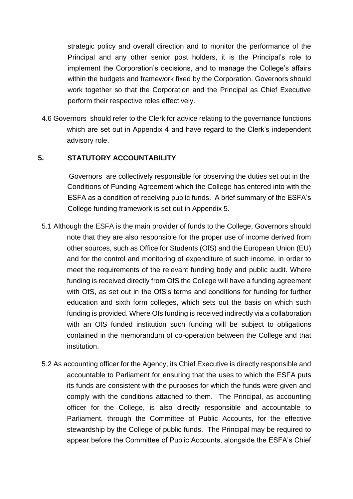strategic policy and overall direction and to monitor the performance of the Principal and any other senior post holders, it is the Principal's role to implement the Corporation's decisions, and to manage the College's affairs within the budgets and framework fixed by the Corporation. Governors should work together so that the Corporation and the Principal as Chief Executive perform their respective roles effectively.

4.6 Governors should refer to the Clerk for advice relating to the governance functions which are set out in Appendix 4 and have regard to the Clerk's independent advisory role.

## **5. STATUTORY ACCOUNTABILITY**

Governors are collectively responsible for observing the duties set out in the Conditions of Funding Agreement which the College has entered into with the ESFA as a condition of receiving public funds. A brief summary of the ESFA's College funding framework is set out in Appendix 5.

- 5.1 Although the ESFA is the main provider of funds to the College, Governors should note that they are also responsible for the proper use of income derived from other sources, such as Office for Students (OfS) and the European Union (EU) and for the control and monitoring of expenditure of such income, in order to meet the requirements of the relevant funding body and public audit. Where funding is received directly from OfS the College will have a funding agreement with OfS, as set out in the OfS's terms and conditions for funding for further education and sixth form colleges, which sets out the basis on which such funding is provided. Where Ofs funding is received indirectly via a collaboration with an OfS funded institution such funding will be subject to obligations contained in the memorandum of co-operation between the College and that institution.
- 5.2 As accounting officer for the Agency, its Chief Executive is directly responsible and accountable to Parliament for ensuring that the uses to which the ESFA puts its funds are consistent with the purposes for which the funds were given and comply with the conditions attached to them. The Principal, as accounting officer for the College, is also directly responsible and accountable to Parliament, through the Committee of Public Accounts, for the effective stewardship by the College of public funds. The Principal may be required to appear before the Committee of Public Accounts, alongside the ESFA's Chief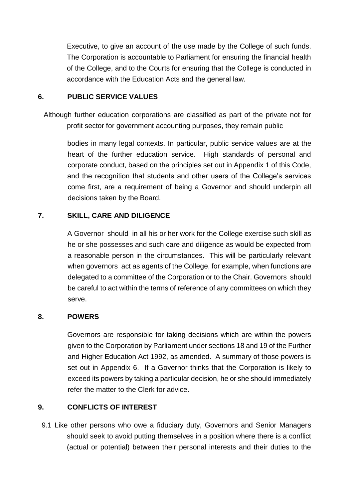Executive, to give an account of the use made by the College of such funds. The Corporation is accountable to Parliament for ensuring the financial health of the College, and to the Courts for ensuring that the College is conducted in accordance with the Education Acts and the general law.

## **6. PUBLIC SERVICE VALUES**

Although further education corporations are classified as part of the private not for profit sector for government accounting purposes, they remain public

bodies in many legal contexts. In particular, public service values are at the heart of the further education service. High standards of personal and corporate conduct, based on the principles set out in Appendix 1 of this Code, and the recognition that students and other users of the College's services come first, are a requirement of being a Governor and should underpin all decisions taken by the Board.

## **7. SKILL, CARE AND DILIGENCE**

A Governor should in all his or her work for the College exercise such skill as he or she possesses and such care and diligence as would be expected from a reasonable person in the circumstances. This will be particularly relevant when governors act as agents of the College, for example, when functions are delegated to a committee of the Corporation or to the Chair. Governors should be careful to act within the terms of reference of any committees on which they serve.

## **8. POWERS**

Governors are responsible for taking decisions which are within the powers given to the Corporation by Parliament under sections 18 and 19 of the Further and Higher Education Act 1992, as amended. A summary of those powers is set out in Appendix 6. If a Governor thinks that the Corporation is likely to exceed its powers by taking a particular decision, he or she should immediately refer the matter to the Clerk for advice.

## **9. CONFLICTS OF INTEREST**

9.1 Like other persons who owe a fiduciary duty, Governors and Senior Managers should seek to avoid putting themselves in a position where there is a conflict (actual or potential) between their personal interests and their duties to the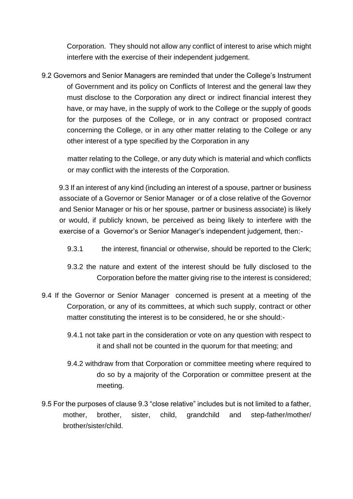Corporation. They should not allow any conflict of interest to arise which might interfere with the exercise of their independent judgement.

9.2 Governors and Senior Managers are reminded that under the College's Instrument of Government and its policy on Conflicts of Interest and the general law they must disclose to the Corporation any direct or indirect financial interest they have, or may have, in the supply of work to the College or the supply of goods for the purposes of the College, or in any contract or proposed contract concerning the College, or in any other matter relating to the College or any other interest of a type specified by the Corporation in any

matter relating to the College, or any duty which is material and which conflicts or may conflict with the interests of the Corporation.

9.3 If an interest of any kind (including an interest of a spouse, partner or business associate of a Governor or Senior Manager or of a close relative of the Governor and Senior Manager or his or her spouse, partner or business associate) is likely or would, if publicly known, be perceived as being likely to interfere with the exercise of a Governor's or Senior Manager's independent judgement, then:-

- 9.3.1 the interest, financial or otherwise, should be reported to the Clerk;
- 9.3.2 the nature and extent of the interest should be fully disclosed to the Corporation before the matter giving rise to the interest is considered;
- 9.4 If the Governor or Senior Manager concerned is present at a meeting of the Corporation, or any of its committees, at which such supply, contract or other matter constituting the interest is to be considered, he or she should:-
	- 9.4.1 not take part in the consideration or vote on any question with respect to it and shall not be counted in the quorum for that meeting; and
	- 9.4.2 withdraw from that Corporation or committee meeting where required to do so by a majority of the Corporation or committee present at the meeting.
- 9.5 For the purposes of clause 9.3 "close relative" includes but is not limited to a father, mother, brother, sister, child, grandchild and step-father/mother/ brother/sister/child.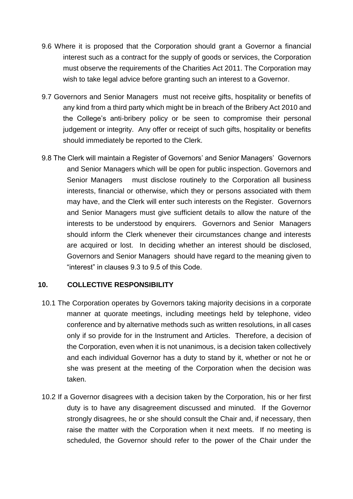- 9.6 Where it is proposed that the Corporation should grant a Governor a financial interest such as a contract for the supply of goods or services, the Corporation must observe the requirements of the Charities Act 2011. The Corporation may wish to take legal advice before granting such an interest to a Governor.
- 9.7 Governors and Senior Managers must not receive gifts, hospitality or benefits of any kind from a third party which might be in breach of the Bribery Act 2010 and the College's anti-bribery policy or be seen to compromise their personal judgement or integrity. Any offer or receipt of such gifts, hospitality or benefits should immediately be reported to the Clerk.
- 9.8 The Clerk will maintain a Register of Governors' and Senior Managers' Governors and Senior Managers which will be open for public inspection. Governors and Senior Managers must disclose routinely to the Corporation all business interests, financial or otherwise, which they or persons associated with them may have, and the Clerk will enter such interests on the Register. Governors and Senior Managers must give sufficient details to allow the nature of the interests to be understood by enquirers. Governors and Senior Managers should inform the Clerk whenever their circumstances change and interests are acquired or lost. In deciding whether an interest should be disclosed, Governors and Senior Managers should have regard to the meaning given to "interest" in clauses 9.3 to 9.5 of this Code.

## **10. COLLECTIVE RESPONSIBILITY**

- 10.1 The Corporation operates by Governors taking majority decisions in a corporate manner at quorate meetings, including meetings held by telephone, video conference and by alternative methods such as written resolutions, in all cases only if so provide for in the Instrument and Articles. Therefore, a decision of the Corporation, even when it is not unanimous, is a decision taken collectively and each individual Governor has a duty to stand by it, whether or not he or she was present at the meeting of the Corporation when the decision was taken.
- 10.2 If a Governor disagrees with a decision taken by the Corporation, his or her first duty is to have any disagreement discussed and minuted. If the Governor strongly disagrees, he or she should consult the Chair and, if necessary, then raise the matter with the Corporation when it next meets. If no meeting is scheduled, the Governor should refer to the power of the Chair under the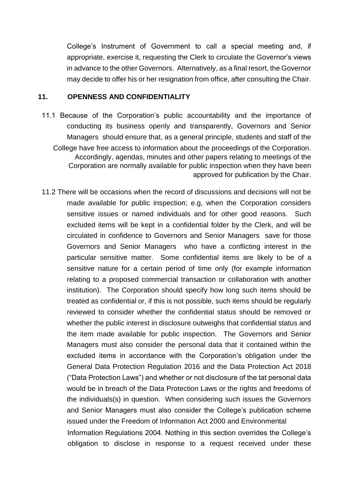College's Instrument of Government to call a special meeting and, if appropriate, exercise it, requesting the Clerk to circulate the Governor's views in advance to the other Governors. Alternatively, as a final resort, the Governor may decide to offer his or her resignation from office, after consulting the Chair.

#### **11. OPENNESS AND CONFIDENTIALITY**

- 11.1 Because of the Corporation's public accountability and the importance of conducting its business openly and transparently, Governors and Senior Managers should ensure that, as a general principle, students and staff of the College have free access to information about the proceedings of the Corporation. Accordingly, agendas, minutes and other papers relating to meetings of the Corporation are normally available for public inspection when they have been approved for publication by the Chair.
- 11.2 There will be occasions when the record of discussions and decisions will not be made available for public inspection; e.g, when the Corporation considers sensitive issues or named individuals and for other good reasons. Such excluded items will be kept in a confidential folder by the Clerk, and will be circulated in confidence to Governors and Senior Managers save for those Governors and Senior Managers who have a conflicting interest in the particular sensitive matter. Some confidential items are likely to be of a sensitive nature for a certain period of time only (for example information relating to a proposed commercial transaction or collaboration with another institution). The Corporation should specify how long such items should be treated as confidential or, if this is not possible, such items should be regularly reviewed to consider whether the confidential status should be removed or whether the public interest in disclosure outweighs that confidential status and the item made available for public inspection. The Governors and Senior Managers must also consider the personal data that it contained within the excluded items in accordance with the Corporation's obligation under the General Data Protection Regulation 2016 and the Data Protection Act 2018 ("Data Protection Laws") and whether or not disclosure of the tat personal data would be in breach of the Data Protection Laws or the rights and freedoms of the individuals(s) in question. When considering such issues the Governors and Senior Managers must also consider the College's publication scheme issued under the Freedom of Information Act 2000 and Environmental Information Regulations 2004. Nothing in this section overrides the College's obligation to disclose in response to a request received under these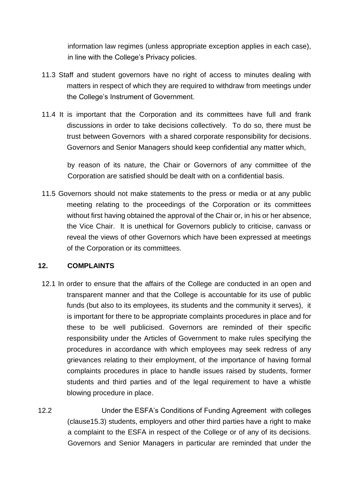information law regimes (unless appropriate exception applies in each case), in line with the College's Privacy policies.

- 11.3 Staff and student governors have no right of access to minutes dealing with matters in respect of which they are required to withdraw from meetings under the College's Instrument of Government.
- 11.4 It is important that the Corporation and its committees have full and frank discussions in order to take decisions collectively. To do so, there must be trust between Governors with a shared corporate responsibility for decisions. Governors and Senior Managers should keep confidential any matter which,

by reason of its nature, the Chair or Governors of any committee of the Corporation are satisfied should be dealt with on a confidential basis.

11.5 Governors should not make statements to the press or media or at any public meeting relating to the proceedings of the Corporation or its committees without first having obtained the approval of the Chair or, in his or her absence, the Vice Chair. It is unethical for Governors publicly to criticise, canvass or reveal the views of other Governors which have been expressed at meetings of the Corporation or its committees.

## **12. COMPLAINTS**

- 12.1 In order to ensure that the affairs of the College are conducted in an open and transparent manner and that the College is accountable for its use of public funds (but also to its employees, its students and the community it serves), it is important for there to be appropriate complaints procedures in place and for these to be well publicised. Governors are reminded of their specific responsibility under the Articles of Government to make rules specifying the procedures in accordance with which employees may seek redress of any grievances relating to their employment, of the importance of having formal complaints procedures in place to handle issues raised by students, former students and third parties and of the legal requirement to have a whistle blowing procedure in place.
- 12.2 Under the ESFA's Conditions of Funding Agreement with colleges (clause15.3) students, employers and other third parties have a right to make a complaint to the ESFA in respect of the College or of any of its decisions. Governors and Senior Managers in particular are reminded that under the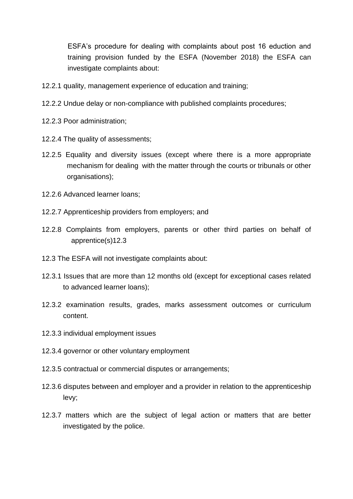ESFA's procedure for dealing with complaints about post 16 eduction and training provision funded by the ESFA (November 2018) the ESFA can investigate complaints about:

- 12.2.1 quality, management experience of education and training;
- 12.2.2 Undue delay or non-compliance with published complaints procedures;
- 12.2.3 Poor administration;
- 12.2.4 The quality of assessments;
- 12.2.5 Equality and diversity issues (except where there is a more appropriate mechanism for dealing with the matter through the courts or tribunals or other organisations);
- 12.2.6 Advanced learner loans;
- 12.2.7 Apprenticeship providers from employers; and
- 12.2.8 Complaints from employers, parents or other third parties on behalf of apprentice(s)12.3
- 12.3 The ESFA will not investigate complaints about:
- 12.3.1 Issues that are more than 12 months old (except for exceptional cases related to advanced learner loans);
- 12.3.2 examination results, grades, marks assessment outcomes or curriculum content.
- 12.3.3 individual employment issues
- 12.3.4 governor or other voluntary employment
- 12.3.5 contractual or commercial disputes or arrangements;
- 12.3.6 disputes between and employer and a provider in relation to the apprenticeship levy;
- 12.3.7 matters which are the subject of legal action or matters that are better investigated by the police.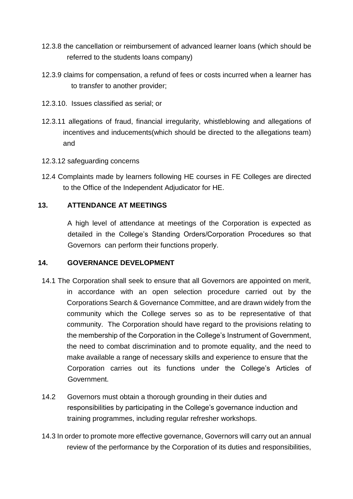- 12.3.8 the cancellation or reimbursement of advanced learner loans (which should be referred to the students loans company)
- 12.3.9 claims for compensation, a refund of fees or costs incurred when a learner has to transfer to another provider;
- 12.3.10. Issues classified as serial; or
- 12.3.11 allegations of fraud, financial irregularity, whistleblowing and allegations of incentives and inducements(which should be directed to the allegations team) and
- 12.3.12 safeguarding concerns
- 12.4 Complaints made by learners following HE courses in FE Colleges are directed to the Office of the Independent Adjudicator for HE.

## **13. ATTENDANCE AT MEETINGS**

A high level of attendance at meetings of the Corporation is expected as detailed in the College's Standing Orders/Corporation Procedures so that Governors can perform their functions properly.

#### **14. GOVERNANCE DEVELOPMENT**

- 14.1 The Corporation shall seek to ensure that all Governors are appointed on merit, in accordance with an open selection procedure carried out by the Corporations Search & Governance Committee, and are drawn widely from the community which the College serves so as to be representative of that community. The Corporation should have regard to the provisions relating to the membership of the Corporation in the College's Instrument of Government, the need to combat discrimination and to promote equality, and the need to make available a range of necessary skills and experience to ensure that the Corporation carries out its functions under the College's Articles of Government.
- 14.2 Governors must obtain a thorough grounding in their duties and responsibilities by participating in the College's governance induction and training programmes, including regular refresher workshops.
- 14.3 In order to promote more effective governance, Governors will carry out an annual review of the performance by the Corporation of its duties and responsibilities,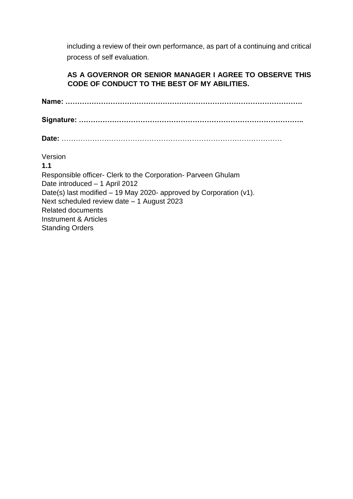including a review of their own performance, as part of a continuing and critical process of self evaluation.

## **AS A GOVERNOR OR SENIOR MANAGER I AGREE TO OBSERVE THIS CODE OF CONDUCT TO THE BEST OF MY ABILITIES.**

**Name: ……………………………………………………………………………………….**

**Signature: …………………………………………………………………………………..**

**Date:** …………………………………………………………………………………

Version

**1.1** Responsible officer- Clerk to the Corporation- Parveen Ghulam Date introduced – 1 April 2012 Date(s) last modified – 19 May 2020- approved by Corporation (v1). Next scheduled review date – 1 August 2023 Related documents Instrument & Articles Standing Orders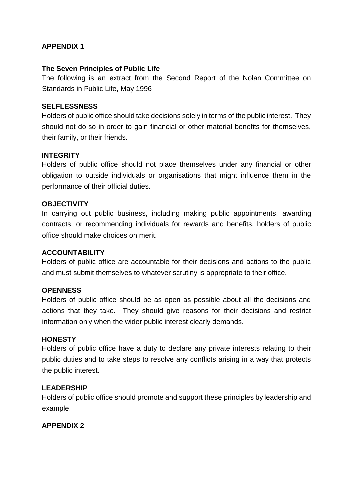## **APPENDIX 1**

## **The Seven Principles of Public Life**

The following is an extract from the Second Report of the Nolan Committee on Standards in Public Life, May 1996

## **SELFLESSNESS**

Holders of public office should take decisions solely in terms of the public interest. They should not do so in order to gain financial or other material benefits for themselves, their family, or their friends.

## **INTEGRITY**

Holders of public office should not place themselves under any financial or other obligation to outside individuals or organisations that might influence them in the performance of their official duties.

#### **OBJECTIVITY**

In carrying out public business, including making public appointments, awarding contracts, or recommending individuals for rewards and benefits, holders of public office should make choices on merit.

## **ACCOUNTABILITY**

Holders of public office are accountable for their decisions and actions to the public and must submit themselves to whatever scrutiny is appropriate to their office.

#### **OPENNESS**

Holders of public office should be as open as possible about all the decisions and actions that they take. They should give reasons for their decisions and restrict information only when the wider public interest clearly demands.

#### **HONESTY**

Holders of public office have a duty to declare any private interests relating to their public duties and to take steps to resolve any conflicts arising in a way that protects the public interest.

#### **LEADERSHIP**

Holders of public office should promote and support these principles by leadership and example.

#### **APPENDIX 2**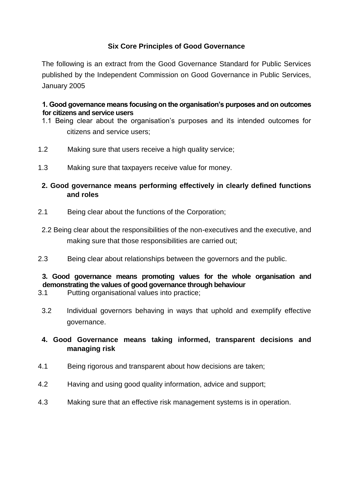## **Six Core Principles of Good Governance**

The following is an extract from the Good Governance Standard for Public Services published by the Independent Commission on Good Governance in Public Services, January 2005

#### **1. Good governance means focusing on the organisation's purposes and on outcomes for citizens and service users**

- 1.1 Being clear about the organisation's purposes and its intended outcomes for citizens and service users;
- 1.2 Making sure that users receive a high quality service;
- 1.3 Making sure that taxpayers receive value for money.
- **2. Good governance means performing effectively in clearly defined functions and roles**
- 2.1 Being clear about the functions of the Corporation;
- 2.2 Being clear about the responsibilities of the non-executives and the executive, and making sure that those responsibilities are carried out;
- 2.3 Being clear about relationships between the governors and the public.

## **3. Good governance means promoting values for the whole organisation and demonstrating the values of good governance through behaviour**

- 3.1 Putting organisational values into practice;
- 3.2 Individual governors behaving in ways that uphold and exemplify effective governance.
- **4. Good Governance means taking informed, transparent decisions and managing risk**
- 4.1 Being rigorous and transparent about how decisions are taken;
- 4.2 Having and using good quality information, advice and support;
- 4.3 Making sure that an effective risk management systems is in operation.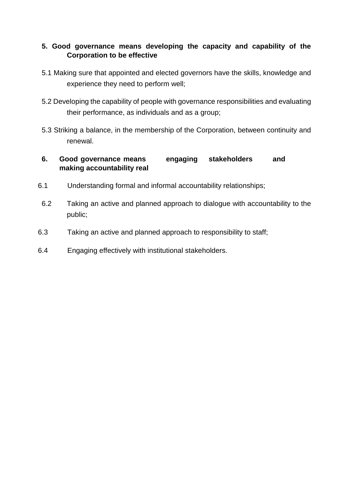## **5. Good governance means developing the capacity and capability of the Corporation to be effective**

- 5.1 Making sure that appointed and elected governors have the skills, knowledge and experience they need to perform well;
- 5.2 Developing the capability of people with governance responsibilities and evaluating their performance, as individuals and as a group;
- 5.3 Striking a balance, in the membership of the Corporation, between continuity and renewal.

## **6. Good governance means engaging stakeholders and making accountability real**

- 6.1 Understanding formal and informal accountability relationships;
- 6.2 Taking an active and planned approach to dialogue with accountability to the public;
- 6.3 Taking an active and planned approach to responsibility to staff;
- 6.4 Engaging effectively with institutional stakeholders.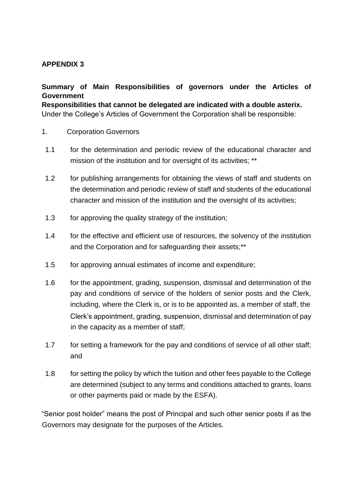## **APPENDIX 3**

## **Summary of Main Responsibilities of governors under the Articles of Government**

**Responsibilities that cannot be delegated are indicated with a double asterix.**  Under the College's Articles of Government the Corporation shall be responsible:

- 1. Corporation Governors
- 1.1 for the determination and periodic review of the educational character and mission of the institution and for oversight of its activities; \*\*
- 1.2 for publishing arrangements for obtaining the views of staff and students on the determination and periodic review of staff and students of the educational character and mission of the institution and the oversight of its activities;
- 1.3 for approving the quality strategy of the institution;
- 1.4 for the effective and efficient use of resources, the solvency of the institution and the Corporation and for safeguarding their assets;\*\*
- 1.5 for approving annual estimates of income and expenditure;
- 1.6 for the appointment, grading, suspension, dismissal and determination of the pay and conditions of service of the holders of senior posts and the Clerk, including, where the Clerk is, or is to be appointed as, a member of staff, the Clerk's appointment, grading, suspension, dismissal and determination of pay in the capacity as a member of staff;
- 1.7 for setting a framework for the pay and conditions of service of all other staff; and
- 1.8 for setting the policy by which the tuition and other fees payable to the College are determined (subject to any terms and conditions attached to grants, loans or other payments paid or made by the ESFA).

"Senior post holder" means the post of Principal and such other senior posts if as the Governors may designate for the purposes of the Articles.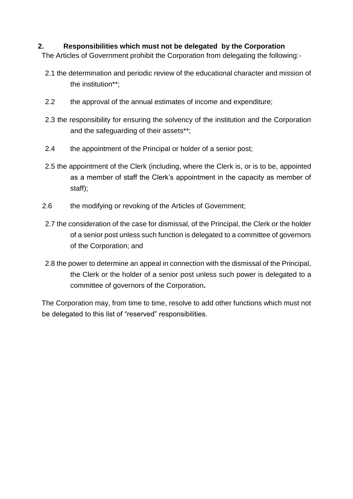## **2. Responsibilities which must not be delegated by the Corporation**

The Articles of Government prohibit the Corporation from delegating the following:-

- 2.1 the determination and periodic review of the educational character and mission of the institution\*\*;
- 2.2 the approval of the annual estimates of income and expenditure;
- 2.3 the responsibility for ensuring the solvency of the institution and the Corporation and the safeguarding of their assets\*\*;
- 2.4 the appointment of the Principal or holder of a senior post;
- 2.5 the appointment of the Clerk (including, where the Clerk is, or is to be, appointed as a member of staff the Clerk's appointment in the capacity as member of staff);
- 2.6 the modifying or revoking of the Articles of Government;
- 2.7 the consideration of the case for dismissal, of the Principal, the Clerk or the holder of a senior post unless such function is delegated to a committee of governors of the Corporation; and
- 2.8 the power to determine an appeal in connection with the dismissal of the Principal, the Clerk or the holder of a senior post unless such power is delegated to a committee of governors of the Corporation**.**

The Corporation may, from time to time, resolve to add other functions which must not be delegated to this list of "reserved" responsibilities.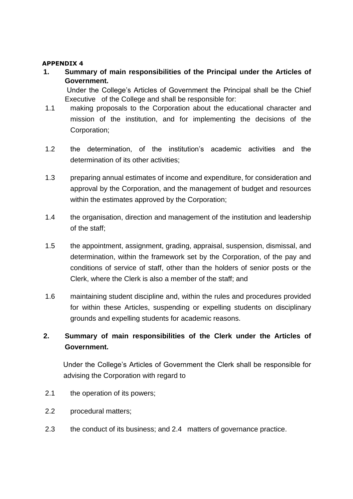#### **APPENDIX 4**

**1. Summary of main responsibilities of the Principal under the Articles of Government.**

Under the College's Articles of Government the Principal shall be the Chief Executive of the College and shall be responsible for:

- 1.1 making proposals to the Corporation about the educational character and mission of the institution, and for implementing the decisions of the Corporation;
- 1.2 the determination, of the institution's academic activities and the determination of its other activities;
- 1.3 preparing annual estimates of income and expenditure, for consideration and approval by the Corporation, and the management of budget and resources within the estimates approved by the Corporation;
- 1.4 the organisation, direction and management of the institution and leadership of the staff;
- 1.5 the appointment, assignment, grading, appraisal, suspension, dismissal, and determination, within the framework set by the Corporation, of the pay and conditions of service of staff, other than the holders of senior posts or the Clerk, where the Clerk is also a member of the staff; and
- 1.6 maintaining student discipline and, within the rules and procedures provided for within these Articles, suspending or expelling students on disciplinary grounds and expelling students for academic reasons.

## **2. Summary of main responsibilities of the Clerk under the Articles of Government.**

Under the College's Articles of Government the Clerk shall be responsible for advising the Corporation with regard to

- 2.1 the operation of its powers;
- 2.2 procedural matters;
- 2.3 the conduct of its business; and 2.4 matters of governance practice.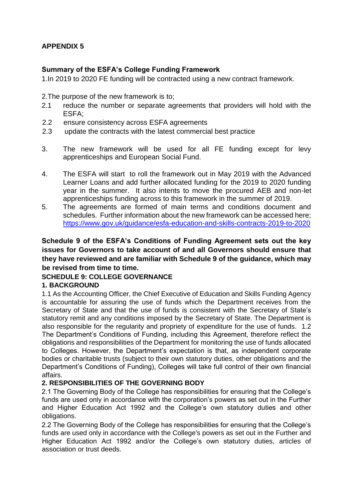## **APPENDIX 5**

## **Summary of the ESFA's College Funding Framework**

1.In 2019 to 2020 FE funding will be contracted using a new contract framework.

2.The purpose of the new framework is to;

- 2.1 reduce the number or separate agreements that providers will hold with the ESFA;
- 2.2 ensure consistency across ESFA agreements
- 2.3 update the contracts with the latest commercial best practice
- 3. The new framework will be used for all FE funding except for levy apprenticeships and European Social Fund.
- 4. The ESFA will start to roll the framework out in May 2019 with the Advanced Learner Loans and add further allocated funding for the 2019 to 2020 funding year in the summer. It also intents to move the procured AEB and non-let apprenticeships funding across to this framework in the summer of 2019.
- 5. The agreements are formed of main terms and conditions document and schedules. Further information about the new framework can be accessed here; <https://www.gov.uk/guidance/esfa-education-and-skills-contracts-2019-to-2020>

## **Schedule 9 of the ESFA's Conditions of Funding Agreement sets out the key issues for Governors to take account of and all Governors should ensure that they have reviewed and are familiar with Schedule 9 of the guidance, which may be revised from time to time.**

## **SCHEDULE 9: COLLEGE GOVERNANCE**

#### **1. BACKGROUND**

1.1 As the Accounting Officer, the Chief Executive of Education and Skills Funding Agency is accountable for assuring the use of funds which the Department receives from the Secretary of State and that the use of funds is consistent with the Secretary of State's statutory remit and any conditions imposed by the Secretary of State. The Department is also responsible for the regularity and propriety of expenditure for the use of funds. 1.2 The Department's Conditions of Funding, including this Agreement, therefore reflect the obligations and responsibilities of the Department for monitoring the use of funds allocated to Colleges. However, the Department's expectation is that, as independent corporate bodies or charitable trusts (subject to their own statutory duties, other obligations and the Department's Conditions of Funding), Colleges will take full control of their own financial affairs.

## **2. RESPONSIBILITIES OF THE GOVERNING BODY**

2.1 The Governing Body of the College has responsibilities for ensuring that the College's funds are used only in accordance with the corporation's powers as set out in the Further and Higher Education Act 1992 and the College's own statutory duties and other obligations.

2.2 The Governing Body of the College has responsibilities for ensuring that the College's funds are used only in accordance with the College's powers as set out in the Further and Higher Education Act 1992 and/or the College's own statutory duties, articles of association or trust deeds.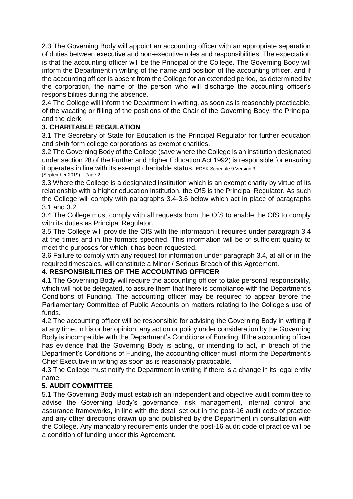2.3 The Governing Body will appoint an accounting officer with an appropriate separation of duties between executive and non-executive roles and responsibilities. The expectation is that the accounting officer will be the Principal of the College. The Governing Body will inform the Department in writing of the name and position of the accounting officer, and if the accounting officer is absent from the College for an extended period, as determined by the corporation, the name of the person who will discharge the accounting officer's responsibilities during the absence.

2.4 The College will inform the Department in writing, as soon as is reasonably practicable, of the vacating or filling of the positions of the Chair of the Governing Body, the Principal and the clerk.

## **3. CHARITABLE REGULATION**

3.1 The Secretary of State for Education is the Principal Regulator for further education and sixth form college corporations as exempt charities.

3.2 The Governing Body of the College (save where the College is an institution designated under section 28 of the Further and Higher Education Act 1992) is responsible for ensuring it operates in line with its exempt charitable status. EDSK Schedule 9 Version 3 (September 2019) – Page 2

3.3 Where the College is a designated institution which is an exempt charity by virtue of its relationship with a higher education institution, the OfS is the Principal Regulator. As such the College will comply with paragraphs 3.4-3.6 below which act in place of paragraphs 3.1 and 3.2.

3.4 The College must comply with all requests from the OfS to enable the OfS to comply with its duties as Principal Regulator.

3.5 The College will provide the OfS with the information it requires under paragraph 3.4 at the times and in the formats specified. This information will be of sufficient quality to meet the purposes for which it has been requested.

3.6 Failure to comply with any request for information under paragraph 3.4, at all or in the required timescales, will constitute a Minor / Serious Breach of this Agreement.

## **4. RESPONSIBILITIES OF THE ACCOUNTING OFFICER**

4.1 The Governing Body will require the accounting officer to take personal responsibility, which will not be delegated, to assure them that there is compliance with the Department's Conditions of Funding. The accounting officer may be required to appear before the Parliamentary Committee of Public Accounts on matters relating to the College's use of funds.

4.2 The accounting officer will be responsible for advising the Governing Body in writing if at any time, in his or her opinion, any action or policy under consideration by the Governing Body is incompatible with the Department's Conditions of Funding. If the accounting officer has evidence that the Governing Body is acting, or intending to act, in breach of the Department's Conditions of Funding, the accounting officer must inform the Department's Chief Executive in writing as soon as is reasonably practicable.

4.3 The College must notify the Department in writing if there is a change in its legal entity name.

## **5. AUDIT COMMITTEE**

5.1 The Governing Body must establish an independent and objective audit committee to advise the Governing Body's governance, risk management, internal control and assurance frameworks, in line with the detail set out in the post-16 audit code of practice and any other directions drawn up and published by the Department in consultation with the College. Any mandatory requirements under the post-16 audit code of practice will be a condition of funding under this Agreement.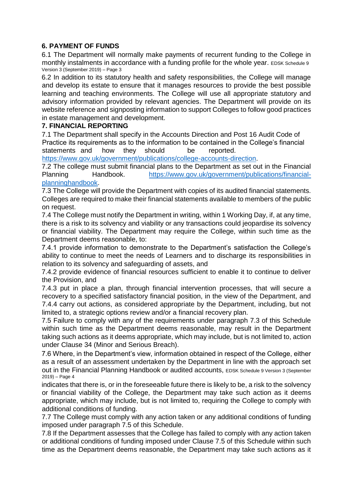## **6. PAYMENT OF FUNDS**

6.1 The Department will normally make payments of recurrent funding to the College in monthly instalments in accordance with a funding profile for the whole year. EDSK Schedule 9 Version 3 (September 2019) – Page 3

6.2 In addition to its statutory health and safety responsibilities, the College will manage and develop its estate to ensure that it manages resources to provide the best possible learning and teaching environments. The College will use all appropriate statutory and advisory information provided by relevant agencies. The Department will provide on its website reference and signposting information to support Colleges to follow good practices in estate management and development.

#### **7. FINANCIAL REPORTING**

7.1 The Department shall specify in the Accounts Direction and Post 16 Audit Code of Practice its requirements as to the information to be contained in the College's financial statements and how they should be reported.

[https://www.gov.uk/government/publications/college-accounts-direction.](https://www.gov.uk/government/publications/college-accounts-direction)

7.2 The college must submit financial plans to the Department as set out in the Financial Planning Handbook. [https://www.gov.uk/government/publications/financial](https://www.gov.uk/government/publications/financial-planning-handbook)[planninghandbook.](https://www.gov.uk/government/publications/financial-planning-handbook)

7.3 The College will provide the Department with copies of its audited financial statements. Colleges are required to make their financial statements available to members of the public on request.

7.4 The College must notify the Department in writing, within 1 Working Day, if, at any time, there is a risk to its solvency and viability or any transactions could jeopardise its solvency or financial viability. The Department may require the College, within such time as the Department deems reasonable, to:

7.4.1 provide information to demonstrate to the Department's satisfaction the College's ability to continue to meet the needs of Learners and to discharge its responsibilities in relation to its solvency and safeguarding of assets, and

7.4.2 provide evidence of financial resources sufficient to enable it to continue to deliver the Provision, and

7.4.3 put in place a plan, through financial intervention processes, that will secure a recovery to a specified satisfactory financial position, in the view of the Department, and 7.4.4 carry out actions, as considered appropriate by the Department, including, but not limited to, a strategic options review and/or a financial recovery plan.

7.5 Failure to comply with any of the requirements under paragraph 7.3 of this Schedule within such time as the Department deems reasonable, may result in the Department taking such actions as it deems appropriate, which may include, but is not limited to, action under Clause 34 (Minor and Serious Breach).

7.6 Where, in the Department's view, information obtained in respect of the College, either as a result of an assessment undertaken by the Department in line with the approach set out in the Financial Planning Handbook or audited accounts, EDSK Schedule 9 Version 3 (September 2019) – Page 4

indicates that there is, or in the foreseeable future there is likely to be, a risk to the solvency or financial viability of the College, the Department may take such action as it deems appropriate, which may include, but is not limited to, requiring the College to comply with additional conditions of funding.

7.7 The College must comply with any action taken or any additional conditions of funding imposed under paragraph 7.5 of this Schedule.

7.8 If the Department assesses that the College has failed to comply with any action taken or additional conditions of funding imposed under Clause 7.5 of this Schedule within such time as the Department deems reasonable, the Department may take such actions as it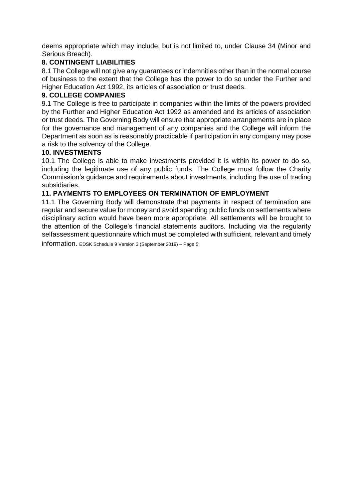deems appropriate which may include, but is not limited to, under Clause 34 (Minor and Serious Breach).

## **8. CONTINGENT LIABILITIES**

8.1 The College will not give any guarantees or indemnities other than in the normal course of business to the extent that the College has the power to do so under the Further and Higher Education Act 1992, its articles of association or trust deeds.

#### **9. COLLEGE COMPANIES**

9.1 The College is free to participate in companies within the limits of the powers provided by the Further and Higher Education Act 1992 as amended and its articles of association or trust deeds. The Governing Body will ensure that appropriate arrangements are in place for the governance and management of any companies and the College will inform the Department as soon as is reasonably practicable if participation in any company may pose a risk to the solvency of the College.

#### **10. INVESTMENTS**

10.1 The College is able to make investments provided it is within its power to do so, including the legitimate use of any public funds. The College must follow the Charity Commission's guidance and requirements about investments, including the use of trading subsidiaries.

#### **11. PAYMENTS TO EMPLOYEES ON TERMINATION OF EMPLOYMENT**

11.1 The Governing Body will demonstrate that payments in respect of termination are regular and secure value for money and avoid spending public funds on settlements where disciplinary action would have been more appropriate. All settlements will be brought to the attention of the College's financial statements auditors. Including via the regularity selfassessment questionnaire which must be completed with sufficient, relevant and timely

information. EDSK Schedule 9 Version 3 (September 2019) – Page 5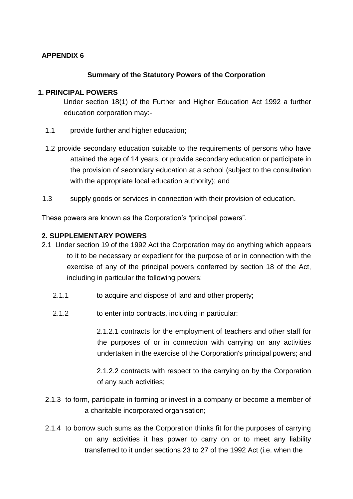## **APPENDIX 6**

## **Summary of the Statutory Powers of the Corporation**

## **1. PRINCIPAL POWERS**

Under section 18(1) of the Further and Higher Education Act 1992 a further education corporation may:-

- 1.1 provide further and higher education;
- 1.2 provide secondary education suitable to the requirements of persons who have attained the age of 14 years, or provide secondary education or participate in the provision of secondary education at a school (subject to the consultation with the appropriate local education authority); and
- 1.3 supply goods or services in connection with their provision of education.

These powers are known as the Corporation's "principal powers".

## **2. SUPPLEMENTARY POWERS**

- 2.1 Under section 19 of the 1992 Act the Corporation may do anything which appears to it to be necessary or expedient for the purpose of or in connection with the exercise of any of the principal powers conferred by section 18 of the Act, including in particular the following powers:
	- 2.1.1 to acquire and dispose of land and other property;
	- 2.1.2 to enter into contracts, including in particular:

2.1.2.1 contracts for the employment of teachers and other staff for the purposes of or in connection with carrying on any activities undertaken in the exercise of the Corporation's principal powers; and

2.1.2.2 contracts with respect to the carrying on by the Corporation of any such activities;

- 2.1.3 to form, participate in forming or invest in a company or become a member of a charitable incorporated organisation;
- 2.1.4 to borrow such sums as the Corporation thinks fit for the purposes of carrying on any activities it has power to carry on or to meet any liability transferred to it under sections 23 to 27 of the 1992 Act (i.e. when the